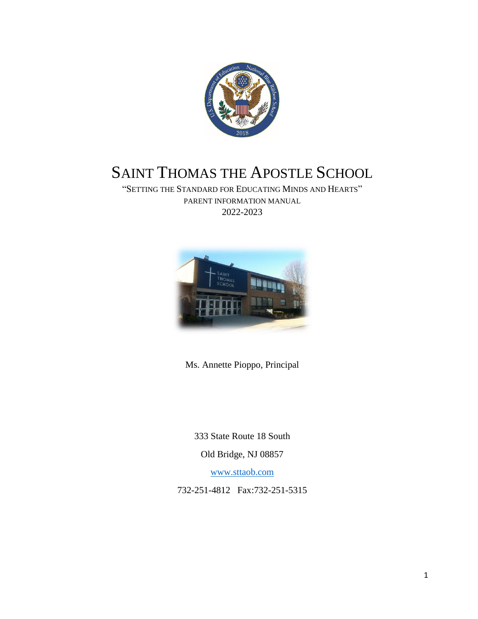

# SAINT THOMAS THE APOSTLE SCHOOL

"SETTING THE STANDARD FOR EDUCATING MINDS AND HEARTS" PARENT INFORMATION MANUAL 2022-2023



Ms. Annette Pioppo, Principal

333 State Route 18 South Old Bridge, NJ 08857

[www.sttaob.com](http://www.sttaob.com/)

732-251-4812 Fax:732-251-5315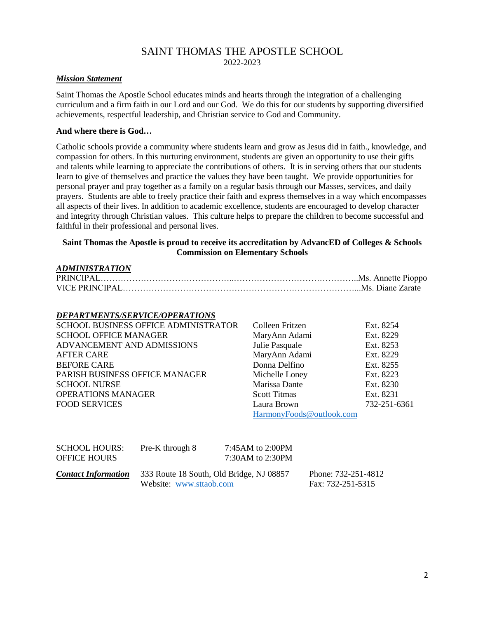## SAINT THOMAS THE APOSTLE SCHOOL

2022-2023

#### *Mission Statement*

Saint Thomas the Apostle School educates minds and hearts through the integration of a challenging curriculum and a firm faith in our Lord and our God. We do this for our students by supporting diversified achievements, respectful leadership, and Christian service to God and Community.

#### **And where there is God…**

Catholic schools provide a community where students learn and grow as Jesus did in faith., knowledge, and compassion for others. In this nurturing environment, students are given an opportunity to use their gifts and talents while learning to appreciate the contributions of others. It is in serving others that our students learn to give of themselves and practice the values they have been taught. We provide opportunities for personal prayer and pray together as a family on a regular basis through our Masses, services, and daily prayers. Students are able to freely practice their faith and express themselves in a way which encompasses all aspects of their lives. In addition to academic excellence, students are encouraged to develop character and integrity through Christian values. This culture helps to prepare the children to become successful and faithful in their professional and personal lives.

### **Saint Thomas the Apostle is proud to receive its accreditation by AdvancED of Colleges & Schools Commission on Elementary Schools**

| <b>ADMINISTRATION</b> |  |
|-----------------------|--|
|                       |  |
|                       |  |

#### *DEPARTMENTS/SERVICE/OPERATIONS*

| SCHOOL BUSINESS OFFICE ADMINISTRATOR | Colleen Fritzen          | Ext. 8254    |
|--------------------------------------|--------------------------|--------------|
| <b>SCHOOL OFFICE MANAGER</b>         | MaryAnn Adami            | Ext. 8229    |
| ADVANCEMENT AND ADMISSIONS           | Julie Pasquale           | Ext. 8253    |
| <b>AFTER CARE</b>                    | MaryAnn Adami            | Ext. 8229    |
| <b>BEFORE CARE</b>                   | Donna Delfino            | Ext. 8255    |
| PARISH BUSINESS OFFICE MANAGER       | Michelle Loney           | Ext. 8223    |
| <b>SCHOOL NURSE</b>                  | Marissa Dante            | Ext. 8230    |
| <b>OPERATIONS MANAGER</b>            | <b>Scott Titmas</b>      | Ext. 8231    |
| <b>FOOD SERVICES</b>                 | Laura Brown              | 732-251-6361 |
|                                      | HarmonyFoods@outlook.com |              |

| <b>SCHOOL HOURS:</b><br><b>OFFICE HOURS</b> | Pre-K through 8                                                     | 7:45AM to 2:00PM<br>7:30AM to 2:30PM |                                          |
|---------------------------------------------|---------------------------------------------------------------------|--------------------------------------|------------------------------------------|
| <b>Contact Information</b>                  | 333 Route 18 South, Old Bridge, NJ 08857<br>Website: www.sttaob.com |                                      | Phone: 732-251-4812<br>Fax: 732-251-5315 |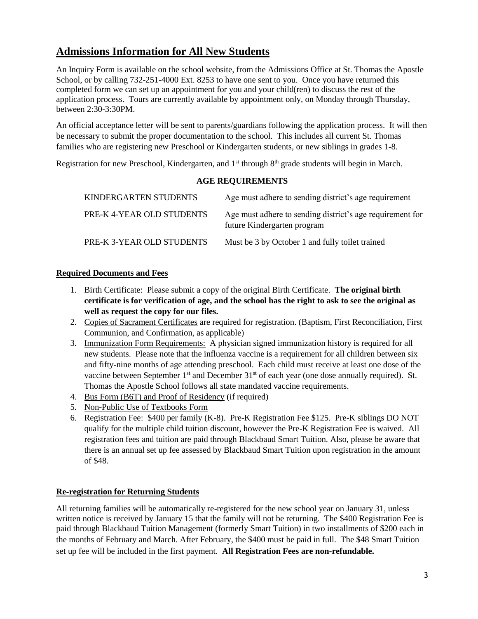### **Admissions Information for All New Students**

An Inquiry Form is available on the school website, from the Admissions Office at St. Thomas the Apostle School, or by calling 732-251-4000 Ext. 8253 to have one sent to you. Once you have returned this completed form we can set up an appointment for you and your child(ren) to discuss the rest of the application process. Tours are currently available by appointment only, on Monday through Thursday, between 2:30-3:30PM.

An official acceptance letter will be sent to parents/guardians following the application process. It will then be necessary to submit the proper documentation to the school. This includes all current St. Thomas families who are registering new Preschool or Kindergarten students, or new siblings in grades 1-8.

Registration for new Preschool, Kindergarten, and 1<sup>st</sup> through 8<sup>th</sup> grade students will begin in March.

### **AGE REQUIREMENTS**

| KINDERGARTEN STUDENTS     | Age must adhere to sending district's age requirement                                    |
|---------------------------|------------------------------------------------------------------------------------------|
| PRE-K 4-YEAR OLD STUDENTS | Age must adhere to sending district's age requirement for<br>future Kindergarten program |
| PRE-K 3-YEAR OLD STUDENTS | Must be 3 by October 1 and fully toilet trained                                          |

### **Required Documents and Fees**

- 1. Birth Certificate: Please submit a copy of the original Birth Certificate. **The original birth certificate is for verification of age, and the school has the right to ask to see the original as well as request the copy for our files.**
- 2. Copies of Sacrament Certificates are required for registration. (Baptism, First Reconciliation, First Communion, and Confirmation, as applicable)
- 3. Immunization Form Requirements: A physician signed immunization history is required for all new students. Please note that the influenza vaccine is a requirement for all children between six and fifty-nine months of age attending preschool. Each child must receive at least one dose of the vaccine between September 1<sup>st</sup> and December 31<sup>st</sup> of each year (one dose annually required). St. Thomas the Apostle School follows all state mandated vaccine requirements.
- 4. Bus Form (B6T) and Proof of Residency (if required)
- 5. Non-Public Use of Textbooks Form
- 6. Registration Fee: \$400 per family (K-8). Pre-K Registration Fee \$125. Pre-K siblings DO NOT qualify for the multiple child tuition discount, however the Pre-K Registration Fee is waived. All registration fees and tuition are paid through Blackbaud Smart Tuition. Also, please be aware that there is an annual set up fee assessed by Blackbaud Smart Tuition upon registration in the amount of \$48.

### **Re-registration for Returning Students**

All returning families will be automatically re-registered for the new school year on January 31, unless written notice is received by January 15 that the family will not be returning. The \$400 Registration Fee is paid through Blackbaud Tuition Management (formerly Smart Tuition) in two installments of \$200 each in the months of February and March. After February, the \$400 must be paid in full. The \$48 Smart Tuition set up fee will be included in the first payment. **All Registration Fees are non-refundable.**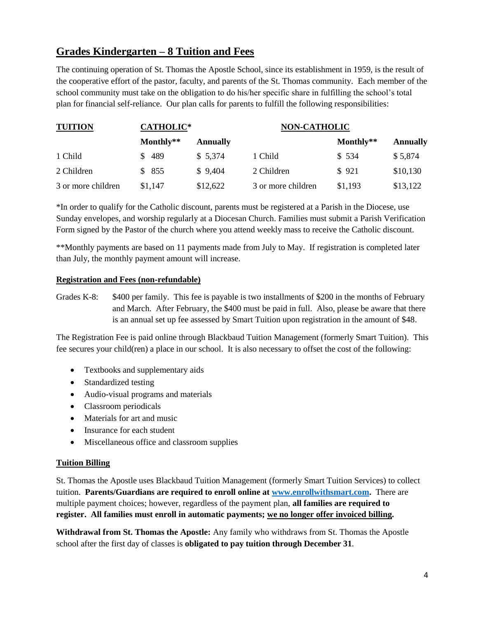### **Grades Kindergarten – 8 Tuition and Fees**

The continuing operation of St. Thomas the Apostle School, since its establishment in 1959, is the result of the cooperative effort of the pastor, faculty, and parents of the St. Thomas community. Each member of the school community must take on the obligation to do his/her specific share in fulfilling the school's total plan for financial self-reliance. Our plan calls for parents to fulfill the following responsibilities:

| <b>TUITION</b>     | <b>CATHOLIC*</b> |          | <b>NON-CATHOLIC</b> |           |                 |  |
|--------------------|------------------|----------|---------------------|-----------|-----------------|--|
|                    | Monthly**        | Annually |                     | Monthly** | <b>Annually</b> |  |
| 1 Child            | \$489            | \$5,374  | 1 Child             | \$ 534    | \$5,874         |  |
| 2 Children         | \$855            | \$9,404  | 2 Children          | \$921     | \$10,130        |  |
| 3 or more children | \$1,147          | \$12,622 | 3 or more children  | \$1,193   | \$13,122        |  |

\*In order to qualify for the Catholic discount, parents must be registered at a Parish in the Diocese, use Sunday envelopes, and worship regularly at a Diocesan Church. Families must submit a Parish Verification Form signed by the Pastor of the church where you attend weekly mass to receive the Catholic discount.

\*\*Monthly payments are based on 11 payments made from July to May. If registration is completed later than July, the monthly payment amount will increase.

### **Registration and Fees (non-refundable)**

Grades K-8: \$400 per family. This fee is payable is two installments of \$200 in the months of February and March. After February, the \$400 must be paid in full. Also, please be aware that there is an annual set up fee assessed by Smart Tuition upon registration in the amount of \$48.

The Registration Fee is paid online through Blackbaud Tuition Management (formerly Smart Tuition). This fee secures your child(ren) a place in our school. It is also necessary to offset the cost of the following:

- Textbooks and supplementary aids
- Standardized testing
- Audio-visual programs and materials
- Classroom periodicals
- Materials for art and music
- Insurance for each student
- Miscellaneous office and classroom supplies

### **Tuition Billing**

St. Thomas the Apostle uses Blackbaud Tuition Management (formerly Smart Tuition Services) to collect tuition. **Parents/Guardians are required to enroll online at [www.enrollwithsmart.com.](http://www.enrollwithsmart.com/)** There are multiple payment choices; however, regardless of the payment plan, **all families are required to register. All families must enroll in automatic payments; we no longer offer invoiced billing.**

**Withdrawal from St. Thomas the Apostle:** Any family who withdraws from St. Thomas the Apostle school after the first day of classes is **obligated to pay tuition through December 31**.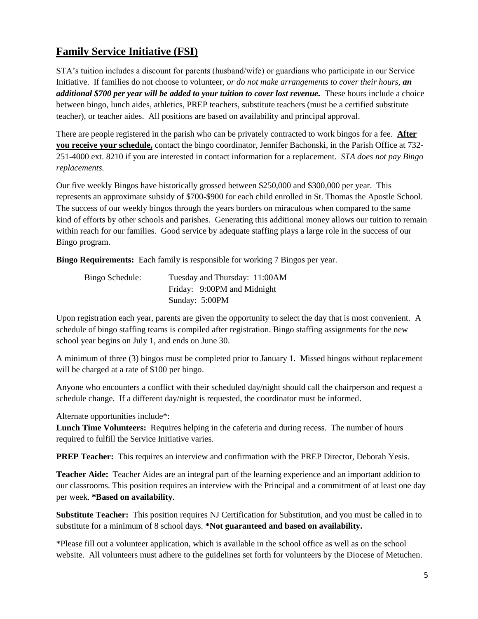### **Family Service Initiative (FSI)**

STA's tuition includes a discount for parents (husband/wife) or guardians who participate in our Service Initiative. If families do not choose to volunteer, *or do not make arrangements to cover their hours, an additional \$700 per year will be added to your tuition to cover lost revenue.* These hours include a choice between bingo, lunch aides, athletics, PREP teachers, substitute teachers (must be a certified substitute teacher), or teacher aides. All positions are based on availability and principal approval.

There are people registered in the parish who can be privately contracted to work bingos for a fee. **After you receive your schedule,** contact the bingo coordinator, Jennifer Bachonski, in the Parish Office at 732- 251-4000 ext. 8210 if you are interested in contact information for a replacement. *STA does not pay Bingo replacements.*

Our five weekly Bingos have historically grossed between \$250,000 and \$300,000 per year. This represents an approximate subsidy of \$700-\$900 for each child enrolled in St. Thomas the Apostle School. The success of our weekly bingos through the years borders on miraculous when compared to the same kind of efforts by other schools and parishes. Generating this additional money allows our tuition to remain within reach for our families. Good service by adequate staffing plays a large role in the success of our Bingo program.

**Bingo Requirements:** Each family is responsible for working 7 Bingos per year.

| Bingo Schedule: | Tuesday and Thursday: 11:00AM |  |
|-----------------|-------------------------------|--|
|                 | Friday: 9:00PM and Midnight   |  |
|                 | Sunday: 5:00PM                |  |

Upon registration each year, parents are given the opportunity to select the day that is most convenient. A schedule of bingo staffing teams is compiled after registration. Bingo staffing assignments for the new school year begins on July 1, and ends on June 30.

A minimum of three (3) bingos must be completed prior to January 1. Missed bingos without replacement will be charged at a rate of \$100 per bingo.

Anyone who encounters a conflict with their scheduled day/night should call the chairperson and request a schedule change. If a different day/night is requested, the coordinator must be informed.

Alternate opportunities include\*:

**Lunch Time Volunteers:** Requires helping in the cafeteria and during recess. The number of hours required to fulfill the Service Initiative varies.

**PREP Teacher:** This requires an interview and confirmation with the PREP Director, Deborah Yesis.

**Teacher Aide:** Teacher Aides are an integral part of the learning experience and an important addition to our classrooms. This position requires an interview with the Principal and a commitment of at least one day per week. **\*Based on availability**.

**Substitute Teacher:** This position requires NJ Certification for Substitution, and you must be called in to substitute for a minimum of 8 school days. **\*Not guaranteed and based on availability.**

\*Please fill out a volunteer application, which is available in the school office as well as on the school website. All volunteers must adhere to the guidelines set forth for volunteers by the Diocese of Metuchen.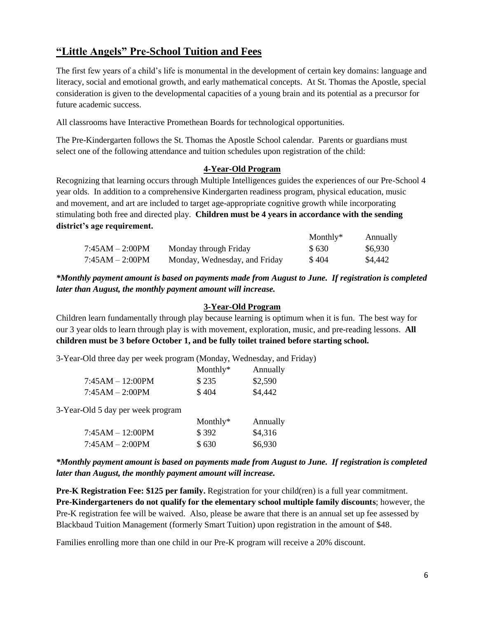### **"Little Angels" Pre-School Tuition and Fees**

The first few years of a child's life is monumental in the development of certain key domains: language and literacy, social and emotional growth, and early mathematical concepts. At St. Thomas the Apostle, special consideration is given to the developmental capacities of a young brain and its potential as a precursor for future academic success.

All classrooms have Interactive Promethean Boards for technological opportunities.

The Pre-Kindergarten follows the St. Thomas the Apostle School calendar. Parents or guardians must select one of the following attendance and tuition schedules upon registration of the child:

### **4-Year-Old Program**

Recognizing that learning occurs through Multiple Intelligences guides the experiences of our Pre-School 4 year olds. In addition to a comprehensive Kindergarten readiness program, physical education, music and movement, and art are included to target age-appropriate cognitive growth while incorporating stimulating both free and directed play. **Children must be 4 years in accordance with the sending district's age requirement.**

|                   |                               | Monthly $*$ | Annually |
|-------------------|-------------------------------|-------------|----------|
| $7:45AM - 2:00PM$ | Monday through Friday         | \$630       | \$6,930  |
| $7:45AM - 2:00PM$ | Monday, Wednesday, and Friday | \$404       | \$4,442  |

*\*Monthly payment amount is based on payments made from August to June. If registration is completed later than August, the monthly payment amount will increase.*

### **3-Year-Old Program**

Children learn fundamentally through play because learning is optimum when it is fun. The best way for our 3 year olds to learn through play is with movement, exploration, music, and pre-reading lessons. **All children must be 3 before October 1, and be fully toilet trained before starting school.**

3-Year-Old three day per week program (Monday, Wednesday, and Friday)

|                                   | Monthly $*$ | Annually |
|-----------------------------------|-------------|----------|
| $7:45AM - 12:00PM$                | \$235       | \$2,590  |
| $7:45AM - 2:00PM$                 | \$404       | \$4,442  |
| 3-Year-Old 5 day per week program |             |          |
|                                   | Monthly $*$ | Annually |
| $7:45AM - 12:00PM$                | \$392       | \$4.316  |

 $7:45AM - 2:00PM$  \$ 630 \$6,930

*\*Monthly payment amount is based on payments made from August to June. If registration is completed later than August, the monthly payment amount will increase.*

**Pre-K Registration Fee: \$125 per family.** Registration for your child(ren) is a full year commitment. **Pre-Kindergarteners do not qualify for the elementary school multiple family discounts**; however, the Pre-K registration fee will be waived. Also, please be aware that there is an annual set up fee assessed by Blackbaud Tuition Management (formerly Smart Tuition) upon registration in the amount of \$48.

Families enrolling more than one child in our Pre-K program will receive a 20% discount.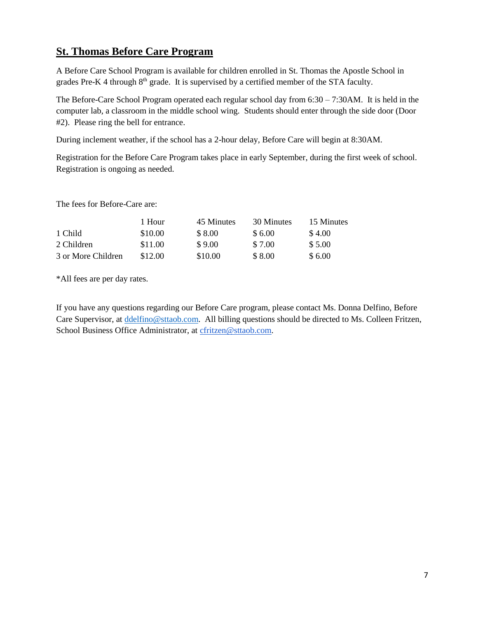### **St. Thomas Before Care Program**

A Before Care School Program is available for children enrolled in St. Thomas the Apostle School in grades Pre-K 4 through 8<sup>th</sup> grade. It is supervised by a certified member of the STA faculty.

The Before-Care School Program operated each regular school day from 6:30 – 7:30AM. It is held in the computer lab, a classroom in the middle school wing. Students should enter through the side door (Door #2). Please ring the bell for entrance.

During inclement weather, if the school has a 2-hour delay, Before Care will begin at 8:30AM.

Registration for the Before Care Program takes place in early September, during the first week of school. Registration is ongoing as needed.

The fees for Before-Care are:

|                    | 1 Hour  | 45 Minutes | 30 Minutes | 15 Minutes |
|--------------------|---------|------------|------------|------------|
| 1 Child            | \$10.00 | \$8.00     | \$6.00     | \$4.00     |
| 2 Children         | \$11.00 | \$9.00     | \$7.00     | \$5.00     |
| 3 or More Children | \$12.00 | \$10.00    | \$8.00     | \$6.00     |

\*All fees are per day rates.

If you have any questions regarding our Before Care program, please contact Ms. Donna Delfino, Before Care Supervisor, at [ddelfino@sttaob.com.](mailto:ddelfino@sttaob.com) All billing questions should be directed to Ms. Colleen Fritzen, School Business Office Administrator, at [cfritzen@sttaob.com.](mailto:cfritzen@sttaob.com)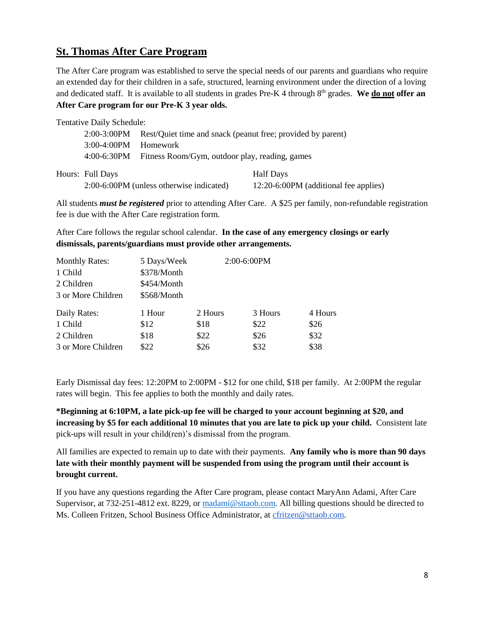### **St. Thomas After Care Program**

The After Care program was established to serve the special needs of our parents and guardians who require an extended day for their children in a safe, structured, learning environment under the direction of a loving and dedicated staff. It is available to all students in grades Pre-K 4 through 8<sup>th</sup> grades. We do not offer an **After Care program for our Pre-K 3 year olds.**

| <b>Tentative Daily Schedule:</b> |                                                             |                                       |
|----------------------------------|-------------------------------------------------------------|---------------------------------------|
| $2:00-3:00PM$                    | Rest/Quiet time and snack (peanut free; provided by parent) |                                       |
| $3:00-4:00$ PM                   | <b>Homework</b>                                             |                                       |
| 4:00-6:30PM                      | Fitness Room/Gym, outdoor play, reading, games              |                                       |
| Hours: Full Days                 |                                                             | Half Days                             |
|                                  | 2:00-6:00PM (unless otherwise indicated)                    | 12:20-6:00PM (additional fee applies) |

All students *must be registered* prior to attending After Care. A \$25 per family, non-refundable registration fee is due with the After Care registration form.

After Care follows the regular school calendar. **In the case of any emergency closings or early dismissals, parents/guardians must provide other arrangements.**

| <b>Monthly Rates:</b> | 5 Days/Week | $2:00-6:00PM$ |         |         |
|-----------------------|-------------|---------------|---------|---------|
| 1 Child               | \$378/Month |               |         |         |
| 2 Children            | \$454/Month |               |         |         |
| 3 or More Children    | \$568/Month |               |         |         |
| Daily Rates:          | 1 Hour      | 2 Hours       | 3 Hours | 4 Hours |
| 1 Child               | \$12        | \$18          | \$22    | \$26    |
| 2 Children            | \$18        | \$22          | \$26    | \$32    |
| 3 or More Children    | \$22        | \$26          | \$32    | \$38    |

Early Dismissal day fees: 12:20PM to 2:00PM - \$12 for one child, \$18 per family. At 2:00PM the regular rates will begin. This fee applies to both the monthly and daily rates.

**\*Beginning at 6:10PM, a late pick-up fee will be charged to your account beginning at \$20, and increasing by \$5 for each additional 10 minutes that you are late to pick up your child.** Consistent late pick-ups will result in your child(ren)'s dismissal from the program.

All families are expected to remain up to date with their payments. **Any family who is more than 90 days late with their monthly payment will be suspended from using the program until their account is brought current.** 

If you have any questions regarding the After Care program, please contact MaryAnn Adami, After Care Supervisor, at 732-251-4812 ext. 8229, or [madami@sttaob.com.](mailto:madami@sttaob.com) All billing questions should be directed to Ms. Colleen Fritzen, School Business Office Administrator, at [cfritzen@sttaob.com.](mailto:cfritzen@sttaob.com)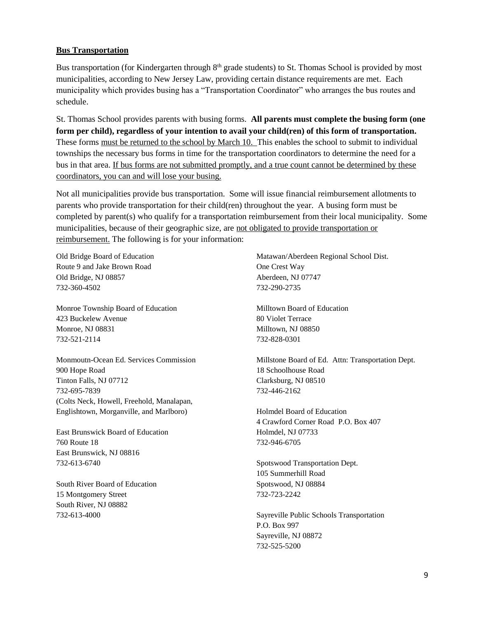#### **Bus Transportation**

Bus transportation (for Kindergarten through 8<sup>th</sup> grade students) to St. Thomas School is provided by most municipalities, according to New Jersey Law, providing certain distance requirements are met. Each municipality which provides busing has a "Transportation Coordinator" who arranges the bus routes and schedule.

St. Thomas School provides parents with busing forms. **All parents must complete the busing form (one form per child), regardless of your intention to avail your child(ren) of this form of transportation.** These forms must be returned to the school by March 10. This enables the school to submit to individual townships the necessary bus forms in time for the transportation coordinators to determine the need for a bus in that area. If bus forms are not submitted promptly, and a true count cannot be determined by these coordinators, you can and will lose your busing.

Not all municipalities provide bus transportation. Some will issue financial reimbursement allotments to parents who provide transportation for their child(ren) throughout the year. A busing form must be completed by parent(s) who qualify for a transportation reimbursement from their local municipality. Some municipalities, because of their geographic size, are not obligated to provide transportation or reimbursement. The following is for your information:

Old Bridge Board of Education Route 9 and Jake Brown Road Old Bridge, NJ 08857 732-360-4502

Monroe Township Board of Education 423 Buckelew Avenue Monroe, NJ 08831 732-521-2114

Monmoutn-Ocean Ed. Services Commission 900 Hope Road Tinton Falls, NJ 07712 732-695-7839 (Colts Neck, Howell, Freehold, Manalapan, Englishtown, Morganville, and Marlboro)

East Brunswick Board of Education 760 Route 18 East Brunswick, NJ 08816 732-613-6740

South River Board of Education 15 Montgomery Street South River, NJ 08882 732-613-4000

Matawan/Aberdeen Regional School Dist. One Crest Way Aberdeen, NJ 07747 732-290-2735

Milltown Board of Education 80 Violet Terrace Milltown, NJ 08850 732-828-0301

Millstone Board of Ed. Attn: Transportation Dept. 18 Schoolhouse Road Clarksburg, NJ 08510 732-446-2162

Holmdel Board of Education 4 Crawford Corner Road P.O. Box 407 Holmdel, NJ 07733 732-946-6705

Spotswood Transportation Dept. 105 Summerhill Road Spotswood, NJ 08884 732-723-2242

Sayreville Public Schools Transportation P.O. Box 997 Sayreville, NJ 08872 732-525-5200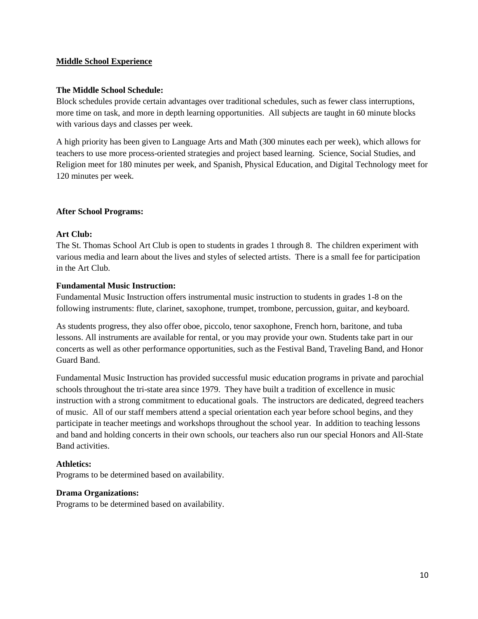### **Middle School Experience**

### **The Middle School Schedule:**

Block schedules provide certain advantages over traditional schedules, such as fewer class interruptions, more time on task, and more in depth learning opportunities. All subjects are taught in 60 minute blocks with various days and classes per week.

A high priority has been given to Language Arts and Math (300 minutes each per week), which allows for teachers to use more process-oriented strategies and project based learning. Science, Social Studies, and Religion meet for 180 minutes per week, and Spanish, Physical Education, and Digital Technology meet for 120 minutes per week.

### **After School Programs:**

### **Art Club:**

The St. Thomas School Art Club is open to students in grades 1 through 8. The children experiment with various media and learn about the lives and styles of selected artists. There is a small fee for participation in the Art Club.

#### **Fundamental Music Instruction:**

Fundamental Music Instruction offers instrumental music instruction to students in grades 1-8 on the following instruments: flute, clarinet, saxophone, trumpet, trombone, percussion, guitar, and keyboard.

As students progress, they also offer oboe, piccolo, tenor saxophone, French horn, baritone, and tuba lessons. All instruments are available for rental, or you may provide your own. Students take part in our concerts as well as other performance opportunities, such as the Festival Band, Traveling Band, and Honor Guard Band.

Fundamental Music Instruction has provided successful music education programs in private and parochial schools throughout the tri-state area since 1979. They have built a tradition of excellence in music instruction with a strong commitment to educational goals. The instructors are dedicated, degreed teachers of music. All of our staff members attend a special orientation each year before school begins, and they participate in teacher meetings and workshops throughout the school year. In addition to teaching lessons and band and holding concerts in their own schools, our teachers also run our special Honors and All-State Band activities.

### **Athletics:**

Programs to be determined based on availability.

#### **Drama Organizations:**

Programs to be determined based on availability.